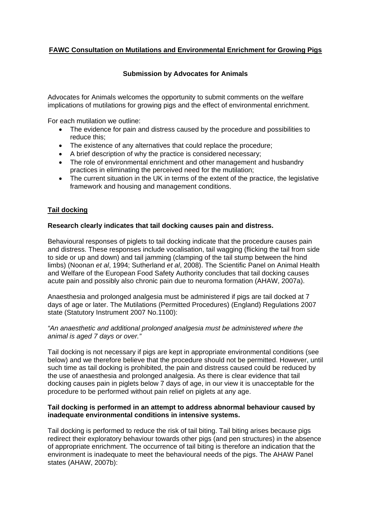# **FAWC Consultation on Mutilations and Environmental Enrichment for Growing Pigs**

## **Submission by Advocates for Animals**

Advocates for Animals welcomes the opportunity to submit comments on the welfare implications of mutilations for growing pigs and the effect of environmental enrichment.

For each mutilation we outline:

- The evidence for pain and distress caused by the procedure and possibilities to reduce this;
- The existence of any alternatives that could replace the procedure;
- A brief description of why the practice is considered necessary;
- The role of environmental enrichment and other management and husbandry practices in eliminating the perceived need for the mutilation;
- The current situation in the UK in terms of the extent of the practice, the legislative framework and housing and management conditions.

## **Tail docking**

## **Research clearly indicates that tail docking causes pain and distress.**

Behavioural responses of piglets to tail docking indicate that the procedure causes pain and distress. These responses include vocalisation, tail wagging (flicking the tail from side to side or up and down) and tail jamming (clamping of the tail stump between the hind limbs) (Noonan *et al*, 1994; Sutherland *et al*, 2008). The Scientific Panel on Animal Health and Welfare of the European Food Safety Authority concludes that tail docking causes acute pain and possibly also chronic pain due to neuroma formation (AHAW, 2007a).

Anaesthesia and prolonged analgesia must be administered if pigs are tail docked at 7 days of age or later. The Mutilations (Permitted Procedures) (England) Regulations 2007 state (Statutory Instrument 2007 No.1100):

## *"An anaesthetic and additional prolonged analgesia must be administered where the animal is aged 7 days or over."*

Tail docking is not necessary if pigs are kept in appropriate environmental conditions (see below) and we therefore believe that the procedure should not be permitted. However, until such time as tail docking is prohibited, the pain and distress caused could be reduced by the use of anaesthesia and prolonged analgesia. As there is clear evidence that tail docking causes pain in piglets below 7 days of age, in our view it is unacceptable for the procedure to be performed without pain relief on piglets at any age.

## **Tail docking is performed in an attempt to address abnormal behaviour caused by inadequate environmental conditions in intensive systems.**

Tail docking is performed to reduce the risk of tail biting. Tail biting arises because pigs redirect their exploratory behaviour towards other pigs (and pen structures) in the absence of appropriate enrichment. The occurrence of tail biting is therefore an indication that the environment is inadequate to meet the behavioural needs of the pigs. The AHAW Panel states (AHAW, 2007b):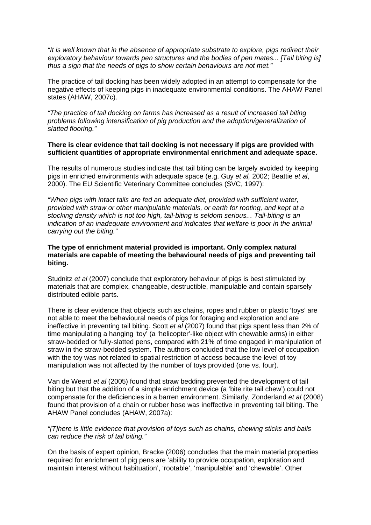*"It is well known that in the absence of appropriate substrate to explore, pigs redirect their exploratory behaviour towards pen structures and the bodies of pen mates... [Tail biting is] thus a sign that the needs of pigs to show certain behaviours are not met."*

The practice of tail docking has been widely adopted in an attempt to compensate for the negative effects of keeping pigs in inadequate environmental conditions. The AHAW Panel states (AHAW, 2007c).

*"The practice of tail docking on farms has increased as a result of increased tail biting problems following intensification of pig production and the adoption/generalization of slatted flooring."*

### **There is clear evidence that tail docking is not necessary if pigs are provided with sufficient quantities of appropriate environmental enrichment and adequate space.**

The results of numerous studies indicate that tail biting can be largely avoided by keeping pigs in enriched environments with adequate space (e.g. Guy *et al,* 2002; Beattie *et al*, 2000). The EU Scientific Veterinary Committee concludes (SVC, 1997):

*"When pigs with intact tails are fed an adequate diet, provided with sufficient water, provided with straw or other manipulable materials, or earth for rooting, and kept at a stocking density which is not too high, tail-biting is seldom serious... Tail-biting is an indication of an inadequate environment and indicates that welfare is poor in the animal carrying out the biting."*

### **The type of enrichment material provided is important. Only complex natural materials are capable of meeting the behavioural needs of pigs and preventing tail biting.**

Studnitz *et al* (2007) conclude that exploratory behaviour of pigs is best stimulated by materials that are complex, changeable, destructible, manipulable and contain sparsely distributed edible parts.

There is clear evidence that objects such as chains, ropes and rubber or plastic 'toys' are not able to meet the behavioural needs of pigs for foraging and exploration and are ineffective in preventing tail biting. Scott *et al* (2007) found that pigs spent less than 2% of time manipulating a hanging 'toy' (a 'helicopter'-like object with chewable arms) in either straw-bedded or fully-slatted pens, compared with 21% of time engaged in manipulation of straw in the straw-bedded system. The authors concluded that the low level of occupation with the toy was not related to spatial restriction of access because the level of toy manipulation was not affected by the number of toys provided (one vs. four).

Van de Weerd *et al* (2005) found that straw bedding prevented the development of tail biting but that the addition of a simple enrichment device (a 'bite rite tail chew') could not compensate for the deficiencies in a barren environment. Similarly, Zonderland *et al* (2008) found that provision of a chain or rubber hose was ineffective in preventing tail biting. The AHAW Panel concludes (AHAW, 2007a):

#### *"[T]here is little evidence that provision of toys such as chains, chewing sticks and balls can reduce the risk of tail biting."*

On the basis of expert opinion, Bracke (2006) concludes that the main material properties required for enrichment of pig pens are 'ability to provide occupation, exploration and maintain interest without habituation', 'rootable', 'manipulable' and 'chewable'. Other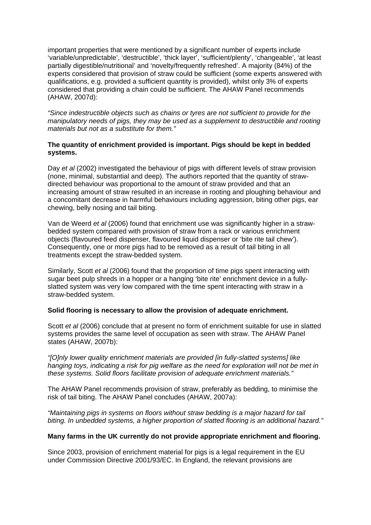important properties that were mentioned by a significant number of experts include 'variable/unpredictable', 'destructible', 'thick layer', 'sufficient/plenty', 'changeable', 'at least partially digestible/nutritional' and 'novelty/frequently refreshed'. A majority (84%) of the experts considered that provision of straw could be sufficient (some experts answered with qualifications, e.g. provided a sufficient quantity is provided), whilst only 3% of experts considered that providing a chain could be sufficient. The AHAW Panel recommends (AHAW, 2007d):

*"Since indestructible objects such as chains or tyres are not sufficient to provide for the manipulatory needs of pigs, they may be used as a supplement to destructible and rooting materials but not as a substitute for them."* 

## **The quantity of enrichment provided is important. Pigs should be kept in bedded systems.**

Day *et al* (2002) investigated the behaviour of pigs with different levels of straw provision (none, minimal, substantial and deep). The authors reported that the quantity of strawdirected behaviour was proportional to the amount of straw provided and that an increasing amount of straw resulted in an increase in rooting and ploughing behaviour and a concomitant decrease in harmful behaviours including aggression, biting other pigs, ear chewing, belly nosing and tail biting.

Van de Weerd *et al* (2006) found that enrichment use was significantly higher in a strawbedded system compared with provision of straw from a rack or various enrichment objects (flavoured feed dispenser, flavoured liquid dispenser or 'bite rite tail chew'). Consequently, one or more pigs had to be removed as a result of tail biting in all treatments except the straw-bedded system.

Similarly, Scott *et al* (2006) found that the proportion of time pigs spent interacting with sugar beet pulp shreds in a hopper or a hanging 'bite rite' enrichment device in a fullyslatted system was very low compared with the time spent interacting with straw in a straw-bedded system.

## **Solid flooring is necessary to allow the provision of adequate enrichment.**

Scott *et al* (2006) conclude that at present no form of enrichment suitable for use in slatted systems provides the same level of occupation as seen with straw. The AHAW Panel states (AHAW, 2007b):

*"[O]nly lower quality enrichment materials are provided [in fully-slatted systems] like hanging toys, indicating a risk for pig welfare as the need for exploration will not be met in these systems. Solid floors facilitate provision of adequate enrichment materials."*

The AHAW Panel recommends provision of straw, preferably as bedding, to minimise the risk of tail biting. The AHAW Panel concludes (AHAW, 2007a):

*"Maintaining pigs in systems on floors without straw bedding is a major hazard for tail biting. In unbedded systems, a higher proportion of slatted flooring is an additional hazard."*

#### **Many farms in the UK currently do not provide appropriate enrichment and flooring.**

Since 2003, provision of enrichment material for pigs is a legal requirement in the EU under Commission Directive 2001/93/EC. In England, the relevant provisions are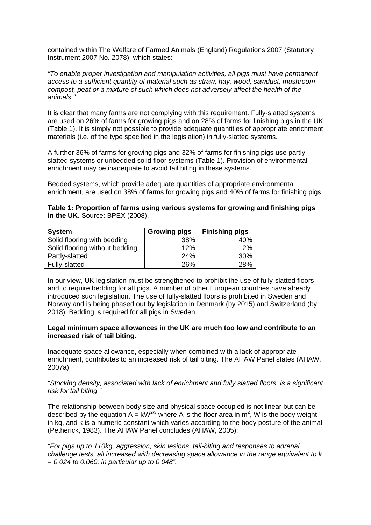contained within The Welfare of Farmed Animals (England) Regulations 2007 (Statutory Instrument 2007 No. 2078), which states:

*"To enable proper investigation and manipulation activities, all pigs must have permanent access to a sufficient quantity of material such as straw, hay, wood, sawdust, mushroom compost, peat or a mixture of such which does not adversely affect the health of the animals."*

It is clear that many farms are not complying with this requirement. Fully-slatted systems are used on 26% of farms for growing pigs and on 28% of farms for finishing pigs in the UK (Table 1). It is simply not possible to provide adequate quantities of appropriate enrichment materials (i.e. of the type specified in the legislation) in fully-slatted systems.

A further 36% of farms for growing pigs and 32% of farms for finishing pigs use partlyslatted systems or unbedded solid floor systems (Table 1). Provision of environmental enrichment may be inadequate to avoid tail biting in these systems.

Bedded systems, which provide adequate quantities of appropriate environmental enrichment, are used on 38% of farms for growing pigs and 40% of farms for finishing pigs.

**Table 1: Proportion of farms using various systems for growing and finishing pigs in the UK.** Source: BPEX (2008).

| System                         | <b>Growing pigs</b> | <b>Finishing pigs</b> |
|--------------------------------|---------------------|-----------------------|
| Solid flooring with bedding    | 38%                 | 40%                   |
| Solid flooring without bedding | 12%                 | 2%                    |
| Partly-slatted                 | 24%                 | 30%                   |
| Fully-slatted                  | 26%                 | 28%                   |

In our view, UK legislation must be strengthened to prohibit the use of fully-slatted floors and to require bedding for all pigs. A number of other European countries have already introduced such legislation. The use of fully-slatted floors is prohibited in Sweden and Norway and is being phased out by legislation in Denmark (by 2015) and Switzerland (by 2018). Bedding is required for all pigs in Sweden.

#### **Legal minimum space allowances in the UK are much too low and contribute to an increased risk of tail biting.**

Inadequate space allowance, especially when combined with a lack of appropriate enrichment, contributes to an increased risk of tail biting. The AHAW Panel states (AHAW, 2007a):

*"Stocking density, associated with lack of enrichment and fully slatted floors, is a significant risk for tail biting."*

The relationship between body size and physical space occupied is not linear but can be described by the equation A =  $kW^{2/3}$  where A is the floor area in m<sup>2</sup>, W is the body weight in kg, and k is a numeric constant which varies according to the body posture of the animal (Petherick, 1983). The AHAW Panel concludes (AHAW, 2005):

*"For pigs up to 110kg, aggression, skin lesions, tail-biting and responses to adrenal challenge tests, all increased with decreasing space allowance in the range equivalent to k = 0.024 to 0.060, in particular up to 0.048".*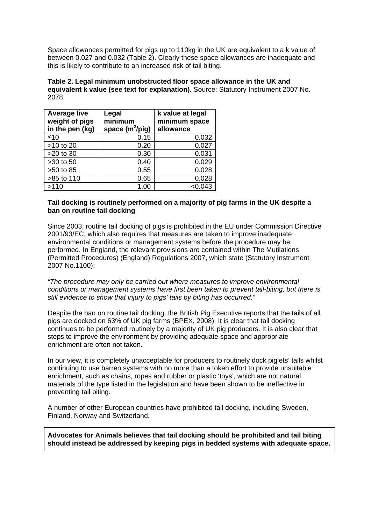Space allowances permitted for pigs up to 110kg in the UK are equivalent to a k value of between 0.027 and 0.032 (Table 2). Clearly these space allowances are inadequate and this is likely to contribute to an increased risk of tail biting.

**Table 2. Legal minimum unobstructed floor space allowance in the UK and equivalent k value (see text for explanation).** Source: Statutory Instrument 2007 No. 2078.

| <b>Average live</b><br>weight of pigs<br>in the pen (kg) | Legal<br>minimum<br>space $(m^2/p)$ | k value at legal<br>minimum space<br>allowance |
|----------------------------------------------------------|-------------------------------------|------------------------------------------------|
| $\leq 10$                                                | 0.15                                | 0.032                                          |
| >10 to 20                                                | 0.20                                | 0.027                                          |
| >20 to 30                                                | 0.30                                | 0.031                                          |
| >30 to 50                                                | 0.40                                | 0.029                                          |
| >50 to 85                                                | 0.55                                | 0.028                                          |
| >85 to 110                                               | 0.65                                | 0.028                                          |
| >110                                                     | 1.00                                | < 0.043                                        |

## **Tail docking is routinely performed on a majority of pig farms in the UK despite a ban on routine tail docking**

Since 2003, routine tail docking of pigs is prohibited in the EU under Commission Directive 2001/93/EC, which also requires that measures are taken to improve inadequate environmental conditions or management systems before the procedure may be performed. In England, the relevant provisions are contained within The Mutilations (Permitted Procedures) (England) Regulations 2007, which state (Statutory Instrument 2007 No.1100):

*"The procedure may only be carried out where measures to improve environmental conditions or management systems have first been taken to prevent tail-biting, but there is still evidence to show that injury to pigs' tails by biting has occurred."*

Despite the ban on routine tail docking, the British Pig Executive reports that the tails of all pigs are docked on 63% of UK pig farms (BPEX, 2008). It is clear that tail docking continues to be performed routinely by a majority of UK pig producers. It is also clear that steps to improve the environment by providing adequate space and appropriate enrichment are often not taken.

In our view, it is completely unacceptable for producers to routinely dock piglets' tails whilst continuing to use barren systems with no more than a token effort to provide unsuitable enrichment, such as chains, ropes and rubber or plastic 'toys', which are not natural materials of the type listed in the legislation and have been shown to be ineffective in preventing tail biting.

A number of other European countries have prohibited tail docking, including Sweden, Finland, Norway and Switzerland.

**Advocates for Animals believes that tail docking should be prohibited and tail biting should instead be addressed by keeping pigs in bedded systems with adequate space.**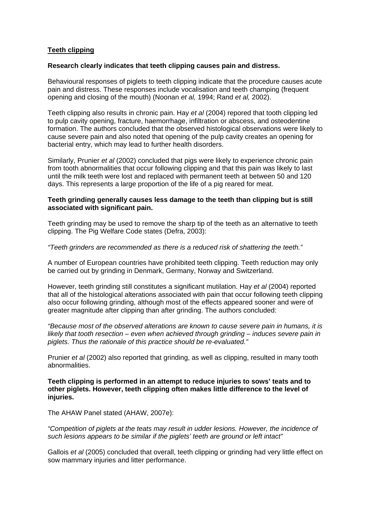## **Teeth clipping**

#### **Research clearly indicates that teeth clipping causes pain and distress.**

Behavioural responses of piglets to teeth clipping indicate that the procedure causes acute pain and distress. These responses include vocalisation and teeth champing (frequent opening and closing of the mouth) (Noonan *et al,* 1994; Rand *et al,* 2002).

Teeth clipping also results in chronic pain. Hay *et al* (2004) repored that tooth clipping led to pulp cavity opening, fracture, haemorrhage, infiltration or abscess, and osteodentine formation. The authors concluded that the observed histological observations were likely to cause severe pain and also noted that opening of the pulp cavity creates an opening for bacterial entry, which may lead to further health disorders.

Similarly, Prunier *et al* (2002) concluded that pigs were likely to experience chronic pain from tooth abnormalities that occur following clipping and that this pain was likely to last until the milk teeth were lost and replaced with permanent teeth at between 50 and 120 days. This represents a large proportion of the life of a pig reared for meat.

#### **Teeth grinding generally causes less damage to the teeth than clipping but is still associated with significant pain.**

Teeth grinding may be used to remove the sharp tip of the teeth as an alternative to teeth clipping. The Pig Welfare Code states (Defra, 2003):

*"Teeth grinders are recommended as there is a reduced risk of shattering the teeth."*

A number of European countries have prohibited teeth clipping. Teeth reduction may only be carried out by grinding in Denmark, Germany, Norway and Switzerland.

However, teeth grinding still constitutes a significant mutilation. Hay *et al* (2004) reported that all of the histological alterations associated with pain that occur following teeth clipping also occur following grinding, although most of the effects appeared sooner and were of greater magnitude after clipping than after grinding. The authors concluded:

*"Because most of the observed alterations are known to cause severe pain in humans, it is likely that tooth resection – even when achieved through grinding – induces severe pain in piglets. Thus the rationale of this practice should be re-evaluated."*

Prunier *et al* (2002) also reported that grinding, as well as clipping, resulted in many tooth abnormalities.

**Teeth clipping is performed in an attempt to reduce injuries to sows' teats and to other piglets. However, teeth clipping often makes little difference to the level of injuries.**

The AHAW Panel stated (AHAW, 2007e):

*"Competition of piglets at the teats may result in udder lesions. However, the incidence of such lesions appears to be similar if the piglets' teeth are ground or left intact"*

Gallois *et al* (2005) concluded that overall, teeth clipping or grinding had very little effect on sow mammary injuries and litter performance.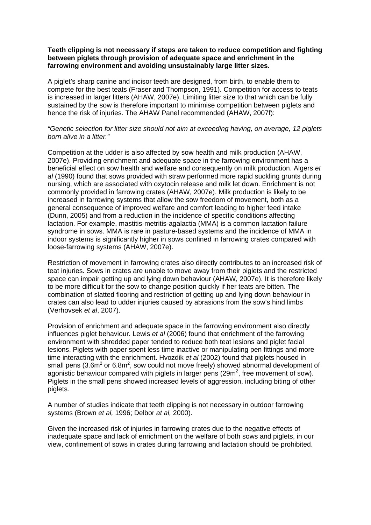## **Teeth clipping is not necessary if steps are taken to reduce competition and fighting between piglets through provision of adequate space and enrichment in the farrowing environment and avoiding unsustainably large litter sizes.**

A piglet's sharp canine and incisor teeth are designed, from birth, to enable them to compete for the best teats (Fraser and Thompson, 1991). Competition for access to teats is increased in larger litters (AHAW, 2007e). Limiting litter size to that which can be fully sustained by the sow is therefore important to minimise competition between piglets and hence the risk of injuries. The AHAW Panel recommended (AHAW, 2007f):

## *"Genetic selection for litter size should not aim at exceeding having, on average, 12 piglets born alive in a litter."*

Competition at the udder is also affected by sow health and milk production (AHAW, 2007e). Providing enrichment and adequate space in the farrowing environment has a beneficial effect on sow health and welfare and consequently on milk production. Algers *et al* (1990) found that sows provided with straw performed more rapid suckling grunts during nursing, which are associated with oxytocin release and milk let down. Enrichment is not commonly provided in farrowing crates (AHAW, 2007e). Milk production is likely to be increased in farrowing systems that allow the sow freedom of movement, both as a general consequence of improved welfare and comfort leading to higher feed intake (Dunn, 2005) and from a reduction in the incidence of specific conditions affecting lactation. For example, mastitis-metritis-agalactia (MMA) is a common lactation failure syndrome in sows. MMA is rare in pasture-based systems and the incidence of MMA in indoor systems is significantly higher in sows confined in farrowing crates compared with loose-farrowing systems (AHAW, 2007e).

Restriction of movement in farrowing crates also directly contributes to an increased risk of teat injuries. Sows in crates are unable to move away from their piglets and the restricted space can impair getting up and lying down behaviour (AHAW, 2007e). It is therefore likely to be more difficult for the sow to change position quickly if her teats are bitten. The combination of slatted flooring and restriction of getting up and lying down behaviour in crates can also lead to udder injuries caused by abrasions from the sow's hind limbs (Verhovsek *et al*, 2007).

Provision of enrichment and adequate space in the farrowing environment also directly influences piglet behaviour. Lewis *et al* (2006) found that enrichment of the farrowing environment with shredded paper tended to reduce both teat lesions and piglet facial lesions. Piglets with paper spent less time inactive or manipulating pen fittings and more time interacting with the enrichment. Hvozdik *et al* (2002) found that piglets housed in small pens (3.6m<sup>2</sup> or 6.8m<sup>2</sup>, sow could not move freely) showed abnormal development of agonistic behaviour compared with piglets in larger pens (29m<sup>2</sup>, free movement of sow). Piglets in the small pens showed increased levels of aggression, including biting of other piglets.

A number of studies indicate that teeth clipping is not necessary in outdoor farrowing systems (Brown *et al,* 1996; Delbor *at al,* 2000).

Given the increased risk of injuries in farrowing crates due to the negative effects of inadequate space and lack of enrichment on the welfare of both sows and piglets, in our view, confinement of sows in crates during farrowing and lactation should be prohibited.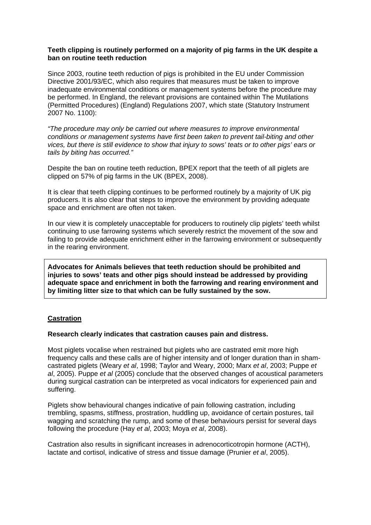## **Teeth clipping is routinely performed on a majority of pig farms in the UK despite a ban on routine teeth reduction**

Since 2003, routine teeth reduction of pigs is prohibited in the EU under Commission Directive 2001/93/EC, which also requires that measures must be taken to improve inadequate environmental conditions or management systems before the procedure may be performed. In England, the relevant provisions are contained within The Mutilations (Permitted Procedures) (England) Regulations 2007, which state (Statutory Instrument 2007 No. 1100):

*"The procedure may only be carried out where measures to improve environmental conditions or management systems have first been taken to prevent tail-biting and other vices, but there is still evidence to show that injury to sows' teats or to other pigs' ears or tails by biting has occurred."* 

Despite the ban on routine teeth reduction, BPEX report that the teeth of all piglets are clipped on 57% of pig farms in the UK (BPEX, 2008).

It is clear that teeth clipping continues to be performed routinely by a majority of UK pig producers. It is also clear that steps to improve the environment by providing adequate space and enrichment are often not taken.

In our view it is completely unacceptable for producers to routinely clip piglets' teeth whilst continuing to use farrowing systems which severely restrict the movement of the sow and failing to provide adequate enrichment either in the farrowing environment or subsequently in the rearing environment.

**Advocates for Animals believes that teeth reduction should be prohibited and injuries to sows' teats and other pigs should instead be addressed by providing adequate space and enrichment in both the farrowing and rearing environment and by limiting litter size to that which can be fully sustained by the sow.**

#### **Castration**

#### **Research clearly indicates that castration causes pain and distress.**

Most piglets vocalise when restrained but piglets who are castrated emit more high frequency calls and these calls are of higher intensity and of longer duration than in shamcastrated piglets (Weary *et al*, 1998; Taylor and Weary, 2000; Marx *et al*, 2003; Puppe *et al*, 2005). Puppe *et al* (2005) conclude that the observed changes of acoustical parameters during surgical castration can be interpreted as vocal indicators for experienced pain and suffering.

Piglets show behavioural changes indicative of pain following castration, including trembling, spasms, stiffness, prostration, huddling up, avoidance of certain postures, tail wagging and scratching the rump, and some of these behaviours persist for several days following the procedure (Hay *et al*, 2003; Moya *et al*, 2008).

Castration also results in significant increases in adrenocorticotropin hormone (ACTH), lactate and cortisol, indicative of stress and tissue damage (Prunier *et al*, 2005).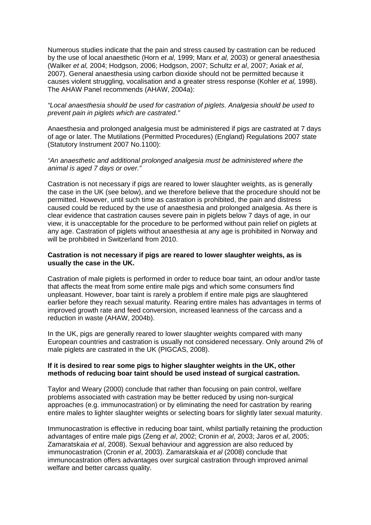Numerous studies indicate that the pain and stress caused by castration can be reduced by the use of local anaesthetic (Horn *et al,* 1999; Marx *et al,* 2003) or general anaesthesia (Walker *et al,* 2004; Hodgson, 2006; Hodgson, 2007; Schultz *et al*, 2007; Axiak *et al*, 2007). General anaesthesia using carbon dioxide should not be permitted because it causes violent struggling, vocalisation and a greater stress response (Kohler *et al,* 1998). The AHAW Panel recommends (AHAW, 2004a):

## *"Local anaesthesia should be used for castration of piglets. Analgesia should be used to prevent pain in piglets which are castrated."*

Anaesthesia and prolonged analgesia must be administered if pigs are castrated at 7 days of age or later. The Mutilations (Permitted Procedures) (England) Regulations 2007 state (Statutory Instrument 2007 No.1100):

### *"An anaesthetic and additional prolonged analgesia must be administered where the animal is aged 7 days or over."*

Castration is not necessary if pigs are reared to lower slaughter weights, as is generally the case in the UK (see below), and we therefore believe that the procedure should not be permitted. However, until such time as castration is prohibited, the pain and distress caused could be reduced by the use of anaesthesia and prolonged analgesia. As there is clear evidence that castration causes severe pain in piglets below 7 days of age, in our view, it is unacceptable for the procedure to be performed without pain relief on piglets at any age. Castration of piglets without anaesthesia at any age is prohibited in Norway and will be prohibited in Switzerland from 2010.

## **Castration is not necessary if pigs are reared to lower slaughter weights, as is usually the case in the UK.**

Castration of male piglets is performed in order to reduce boar taint, an odour and/or taste that affects the meat from some entire male pigs and which some consumers find unpleasant. However, boar taint is rarely a problem if entire male pigs are slaughtered earlier before they reach sexual maturity. Rearing entire males has advantages in terms of improved growth rate and feed conversion, increased leanness of the carcass and a reduction in waste (AHAW, 2004b).

In the UK, pigs are generally reared to lower slaughter weights compared with many European countries and castration is usually not considered necessary. Only around 2% of male piglets are castrated in the UK (PIGCAS, 2008).

## **If it is desired to rear some pigs to higher slaughter weights in the UK, other methods of reducing boar taint should be used instead of surgical castration.**

Taylor and Weary (2000) conclude that rather than focusing on pain control, welfare problems associated with castration may be better reduced by using non-surgical approaches (e.g. immunocastration) or by eliminating the need for castration by rearing entire males to lighter slaughter weights or selecting boars for slightly later sexual maturity.

Immunocastration is effective in reducing boar taint, whilst partially retaining the production advantages of entire male pigs (Zeng *et al*, 2002; Cronin *et al*, 2003; Jaros *et al*, 2005; Zamaratskaia *et al*, 2008). Sexual behaviour and aggression are also reduced by immunocastration (Cronin *et al*, 2003). Zamaratskaia *et al* (2008) conclude that immunocastration offers advantages over surgical castration through improved animal welfare and better carcass quality.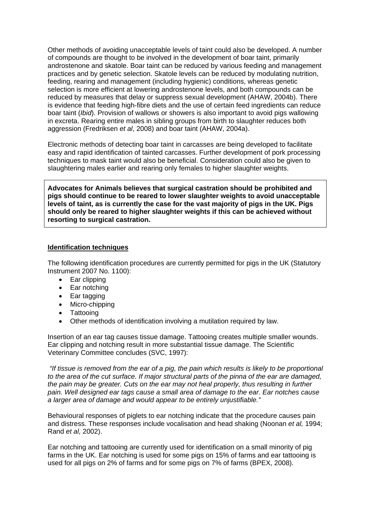Other methods of avoiding unacceptable levels of taint could also be developed. A number of compounds are thought to be involved in the development of boar taint, primarily androstenone and skatole. Boar taint can be reduced by various feeding and management practices and by genetic selection. Skatole levels can be reduced by modulating nutrition, feeding, rearing and management (including hygienic) conditions, whereas genetic selection is more efficient at lowering androstenone levels, and both compounds can be reduced by measures that delay or suppress sexual development (AHAW, 2004b). There is evidence that feeding high-fibre diets and the use of certain feed ingredients can reduce boar taint (*Ibid*). Provision of wallows or showers is also important to avoid pigs wallowing in excreta. Rearing entire males in sibling groups from birth to slaughter reduces both aggression (Fredriksen *et al*, 2008) and boar taint (AHAW, 2004a).

Electronic methods of detecting boar taint in carcasses are being developed to facilitate easy and rapid identification of tainted carcasses. Further development of pork processing techniques to mask taint would also be beneficial. Consideration could also be given to slaughtering males earlier and rearing only females to higher slaughter weights.

**Advocates for Animals believes that surgical castration should be prohibited and pigs should continue to be reared to lower slaughter weights to avoid unacceptable levels of taint, as is currently the case for the vast majority of pigs in the UK. Pigs should only be reared to higher slaughter weights if this can be achieved without resorting to surgical castration.**

#### **Identification techniques**

The following identification procedures are currently permitted for pigs in the UK (Statutory Instrument 2007 No. 1100):

- Ear clipping
- Ear notching
- Ear tagging
- Micro-chipping
- Tattooing
- Other methods of identification involving a mutilation required by law.

Insertion of an ear tag causes tissue damage. Tattooing creates multiple smaller wounds. Ear clipping and notching result in more substantial tissue damage. The Scientific Veterinary Committee concludes (SVC, 1997):

*"If tissue is removed from the ear of a pig, the pain which results is likely to be proportional to the area of the cut surface. If major structural parts of the pinna of the ear are damaged, the pain may be greater. Cuts on the ear may not heal properly, thus resulting in further pain. Well designed ear tags cause a small area of damage to the ear. Ear notches cause a larger area of damage and would appear to be entirely unjustifiable."* 

Behavioural responses of piglets to ear notching indicate that the procedure causes pain and distress. These responses include vocalisation and head shaking (Noonan *et al,* 1994; Rand *et al,* 2002).

Ear notching and tattooing are currently used for identification on a small minority of pig farms in the UK. Ear notching is used for some pigs on 15% of farms and ear tattooing is used for all pigs on 2% of farms and for some pigs on 7% of farms (BPEX, 2008).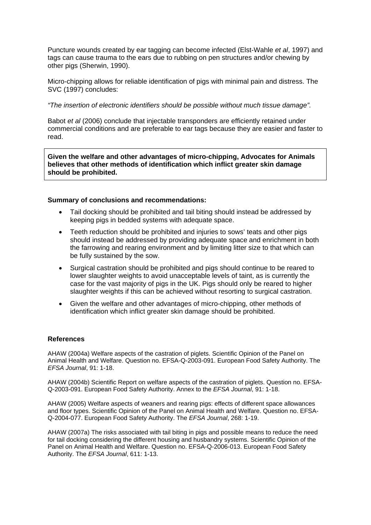Puncture wounds created by ear tagging can become infected (Elst-Wahle *et al*, 1997) and tags can cause trauma to the ears due to rubbing on pen structures and/or chewing by other pigs (Sherwin, 1990).

Micro-chipping allows for reliable identification of pigs with minimal pain and distress. The SVC (1997) concludes:

#### *"The insertion of electronic identifiers should be possible without much tissue damage".*

Babot *et al* (2006) conclude that injectable transponders are efficiently retained under commercial conditions and are preferable to ear tags because they are easier and faster to read.

**Given the welfare and other advantages of micro-chipping, Advocates for Animals believes that other methods of identification which inflict greater skin damage should be prohibited.**

#### **Summary of conclusions and recommendations:**

- Tail docking should be prohibited and tail biting should instead be addressed by keeping pigs in bedded systems with adequate space.
- Teeth reduction should be prohibited and injuries to sows' teats and other pigs should instead be addressed by providing adequate space and enrichment in both the farrowing and rearing environment and by limiting litter size to that which can be fully sustained by the sow.
- Surgical castration should be prohibited and pigs should continue to be reared to lower slaughter weights to avoid unacceptable levels of taint, as is currently the case for the vast majority of pigs in the UK. Pigs should only be reared to higher slaughter weights if this can be achieved without resorting to surgical castration.
- Given the welfare and other advantages of micro-chipping, other methods of identification which inflict greater skin damage should be prohibited.

## **References**

AHAW (2004a) Welfare aspects of the castration of piglets. Scientific Opinion of the Panel on Animal Health and Welfare. Question no. EFSA-Q-2003-091. European Food Safety Authority. The *EFSA Journal*, 91: 1-18.

AHAW (2004b) Scientific Report on welfare aspects of the castration of piglets. Question no. EFSA-Q-2003-091. European Food Safety Authority. Annex to the *EFSA Journal*, 91: 1-18.

AHAW (2005) Welfare aspects of weaners and rearing pigs: effects of different space allowances and floor types. Scientific Opinion of the Panel on Animal Health and Welfare. Question no. EFSA-Q-2004-077. European Food Safety Authority. The *EFSA Journal*, 268: 1-19.

AHAW (2007a) The risks associated with tail biting in pigs and possible means to reduce the need for tail docking considering the different housing and husbandry systems. Scientific Opinion of the Panel on Animal Health and Welfare. Question no. EFSA-Q-2006-013. European Food Safety Authority. The *EFSA Journal*, 611: 1-13.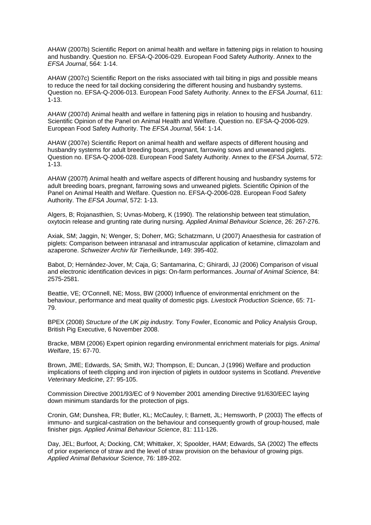AHAW (2007b) Scientific Report on animal health and welfare in fattening pigs in relation to housing and husbandry. Question no. EFSA-Q-2006-029. European Food Safety Authority. Annex to the *EFSA Journal*, 564: 1-14.

AHAW (2007c) Scientific Report on the risks associated with tail biting in pigs and possible means to reduce the need for tail docking considering the different housing and husbandry systems. Question no. EFSA-Q-2006-013. European Food Safety Authority. Annex to the *EFSA Journal*, 611: 1-13.

AHAW (2007d) Animal health and welfare in fattening pigs in relation to housing and husbandry. Scientific Opinion of the Panel on Animal Health and Welfare. Question no. EFSA-Q-2006-029. European Food Safety Authority. The *EFSA Journal*, 564: 1-14.

AHAW (2007e) Scientific Report on animal health and welfare aspects of different housing and husbandry systems for adult breeding boars, pregnant, farrowing sows and unweaned piglets. Question no. EFSA-Q-2006-028. European Food Safety Authority. Annex to the *EFSA Journal*, 572: 1-13.

AHAW (2007f) Animal health and welfare aspects of different housing and husbandry systems for adult breeding boars, pregnant, farrowing sows and unweaned piglets. Scientific Opinion of the Panel on Animal Health and Welfare. Question no. EFSA-Q-2006-028. European Food Safety Authority. The *EFSA Journal*, 572: 1-13.

Algers, B; Rojanasthien, S; Uvnas-Moberg, K (1990). The relationship between teat stimulation, oxytocin release and grunting rate during nursing. *Applied Animal Behaviour Science*, 26: 267-276.

Axiak, SM; Jaggin, N; Wenger, S; Doherr, MG; Schatzmann, U (2007) Anaesthesia for castration of piglets: Comparison between intranasal and intramuscular application of ketamine, climazolam and azaperone. *Schweizer Archiv für Tierheilkunde*, 149: 395-402.

Babot, D; Hernández-Jover, M; Caja, G; Santamarina, C; Ghirardi, JJ (2006) Comparison of visual and electronic identification devices in pigs: On-farm performances. *Journal of Animal Science,* 84: 2575-2581.

Beattie, VE; O'Connell, NE; Moss, BW (2000) Influence of environmental enrichment on the behaviour, performance and meat quality of domestic pigs. *Livestock Production Science*, 65: 71- 79.

BPEX (2008) *Structure of the UK pig industry.* Tony Fowler, Economic and Policy Analysis Group, British Pig Executive, 6 November 2008.

Bracke, MBM (2006) Expert opinion regarding environmental enrichment materials for pigs. *Animal Welfare*, 15: 67-70.

Brown, JME; Edwards, SA; Smith, WJ; Thompson, E; Duncan, J (1996) Welfare and production implications of teeth clipping and iron injection of piglets in outdoor systems in Scotland. *Preventive Veterinary Medicine*, 27: 95-105.

Commission Directive 2001/93/EC of 9 November 2001 amending Directive 91/630/EEC laying down minimum standards for the protection of pigs.

Cronin, GM; Dunshea, FR; Butler, KL; McCauley, I; Barnett, JL; Hemsworth, P (2003) The effects of immuno- and surgical-castration on the behaviour and consequently growth of group-housed, male finisher pigs. *Applied Animal Behaviour Science*, 81: 111-126.

Day, JEL; Burfoot, A; Docking, CM; Whittaker, X; Spoolder, HAM; Edwards, SA (2002) The effects of prior experience of straw and the level of straw provision on the behaviour of growing pigs. *Applied Animal Behaviour Science*, 76: 189-202.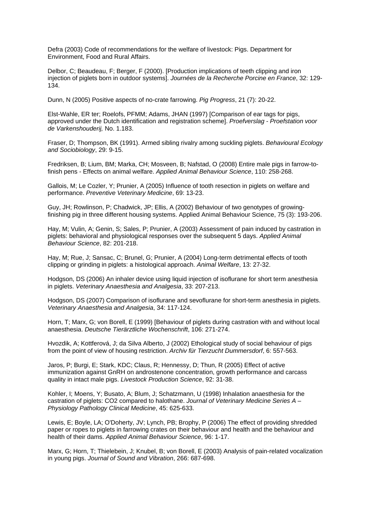Defra (2003) Code of recommendations for the welfare of livestock: Pigs. Department for Environment, Food and Rural Affairs.

Delbor, C; Beaudeau, F; Berger, F (2000). [Production implications of teeth clipping and iron injection of piglets born in outdoor systems]. *Journées de la Recherche Porcine en France*, 32: 129- 134.

Dunn, N (2005) Positive aspects of no-crate farrowing. *Pig Progress*, 21 (7): 20-22.

Elst-Wahle, ER ter; Roelofs, PFMM; Adams, JHAN (1997) [Comparison of ear tags for pigs, approved under the Dutch identification and registration scheme]. *Proefverslag - Proefstation voor de Varkenshouderij,* No. 1.183.

Fraser, D; Thompson, BK (1991). Armed sibling rivalry among suckling piglets. *Behavioural Ecology and Sociobiology*, 29: 9-15.

Fredriksen, B; Lium, BM; Marka, CH; Mosveen, B; Nafstad, O (2008) Entire male pigs in farrow-tofinish pens - Effects on animal welfare. *Applied Animal Behaviour Science*, 110: 258-268.

Gallois, M; Le Cozler, Y; Prunier, A (2005) Influence of tooth resection in piglets on welfare and performance. *Preventive Veterinary Medicine*, 69: 13-23.

Guy, JH; Rowlinson, P; Chadwick, JP; Ellis, A (2002) Behaviour of two genotypes of growingfinishing pig in three different housing systems. Applied Animal Behaviour Science, 75 (3): 193-206.

Hay, M; Vulin, A; Genin, S; Sales, P; Prunier, A (2003) Assessment of pain induced by castration in piglets: behavioral and physiological responses over the subsequent 5 days. *Applied Animal Behaviour Science*, 82: 201-218.

Hay, M; Rue, J; Sansac, C; Brunel, G; Prunier, A (2004) Long-term detrimental effects of tooth clipping or grinding in piglets: a histological approach. *Animal Welfare*, 13: 27-32.

Hodgson, DS (2006) An inhaler device using liquid injection of isoflurane for short term anesthesia in piglets. *Veterinary Anaesthesia and Analgesia*, 33: 207-213.

Hodgson, DS (2007) Comparison of isoflurane and sevoflurane for short-term anesthesia in piglets. *Veterinary Anaesthesia and Analgesia*, 34: 117-124.

Horn, T; Marx, G; von Borell, E (1999) [Behaviour of piglets during castration with and without local anaesthesia. *Deutsche Tierärztliche Wochenschrift*, 106: 271-274.

Hvozdik, A; Kottferová, J; da Silva Alberto, J (2002) Ethological study of social behaviour of pigs from the point of view of housing restriction. *Archiv für Tierzucht Dummersdorf*, 6: 557-563.

Jaros, P; Burgi, E; Stark, KDC; Claus, R; Hennessy, D; Thun, R (2005) Effect of active immunization against GnRH on androstenone concentration, growth performance and carcass quality in intact male pigs. *Livestock Production Science*, 92: 31-38.

Kohler, I; Moens, Y; Busato, A; Blum, J; Schatzmann, U (1998) Inhalation anaesthesia for the castration of piglets: CO2 compared to halothane. *Journal of Veterinary Medicine Series A – Physiology Pathology Clinical Medicine*, 45: 625-633.

Lewis, E; Boyle, LA; O'Doherty, JV; Lynch, PB; Brophy, P (2006) The effect of providing shredded paper or ropes to piglets in farrowing crates on their behaviour and health and the behaviour and health of their dams. *Applied Animal Behaviour Science*, 96: 1-17.

Marx, G; Horn, T; Thielebein, J; Knubel, B; von Borell, E (2003) Analysis of pain-related vocalization in young pigs. *Journal of Sound and Vibration*, 266: 687-698.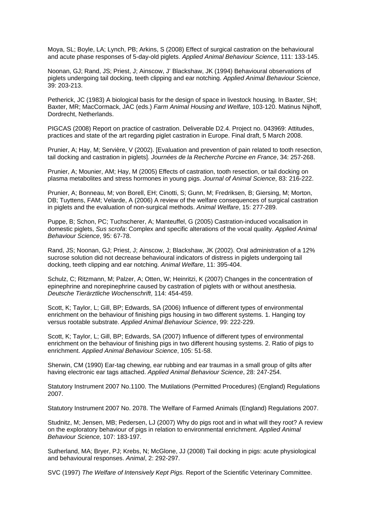Moya, SL; Boyle, LA; Lynch, PB; Arkins, S (2008) Effect of surgical castration on the behavioural and acute phase responses of 5-day-old piglets. *Applied Animal Behaviour Science*, 111: 133-145.

Noonan, GJ; Rand, JS; Priest, J; Ainscow, J' Blackshaw, JK (1994) Behavioural observations of piglets undergoing tail docking, teeth clipping and ear notching. *Applied Animal Behaviour Science*, 39: 203-213.

Petherick, JC (1983) A biological basis for the design of space in livestock housing. In Baxter, SH: Baxter, MR; MacCormack, JAC (eds.) *Farm Animal Housing and Welfare*, 103-120. Matinus Nijhoff, Dordrecht, Netherlands.

PIGCAS (2008) Report on practice of castration. Deliverable D2.4. Project no. 043969: Attitudes, practices and state of the art regarding piglet castration in Europe. Final draft, 5 March 2008.

Prunier, A; Hay, M; Servière, V (2002). [Evaluation and prevention of pain related to tooth resection, tail docking and castration in piglets]. *Journées de la Recherche Porcine en France*, 34: 257-268.

Prunier, A; Mounier, AM; Hay, M (2005) Effects of castration, tooth resection, or tail docking on plasma metabolites and stress hormones in young pigs. *Journal of Animal Science*, 83: 216-222.

Prunier, A; Bonneau, M; von Borell, EH; Cinotti, S; Gunn, M; Fredriksen, B; Giersing, M; Morton, DB; Tuyttens, FAM; Velarde, A (2006) A review of the welfare consequences of surgical castration in piglets and the evaluation of non-surgical methods. *Animal Welfare*, 15: 277-289.

Puppe, B; Schon, PC; Tuchscherer, A; Manteuffel, G (2005) Castration-induced vocalisation in domestic piglets, *Sus scrofa*: Complex and specific alterations of the vocal quality. *Applied Animal Behaviour Science*, 95: 67-78.

Rand, JS; Noonan, GJ; Priest, J; Ainscow, J; Blackshaw, JK (2002). Oral administration of a 12% sucrose solution did not decrease behavioural indicators of distress in piglets undergoing tail docking, teeth clipping and ear notching. *Animal Welfare*, 11: 395-404.

Schulz, C; Ritzmann, M; Palzer, A; Otten, W; Heinritzi, K (2007) Changes in the concentration of epinephrine and norepinephrine caused by castration of piglets with or without anesthesia. *Deutsche Tierärztliche Wochenschrift*, 114: 454-459.

Scott, K; Taylor, L; Gill, BP; Edwards, SA (2006) Influence of different types of environmental enrichment on the behaviour of finishing pigs housing in two different systems. 1. Hanging toy versus rootable substrate. *Applied Animal Behaviour Science*, 99: 222-229.

Scott, K; Taylor, L; Gill, BP; Edwards, SA (2007) Influence of different types of environmental enrichment on the behaviour of finishing pigs in two different housing systems. 2. Ratio of pigs to enrichment. *Applied Animal Behaviour Science*, 105: 51-58.

Sherwin, CM (1990) Ear-tag chewing, ear rubbing and ear traumas in a small group of gilts after having electronic ear tags attached. *Applied Animal Behaviour Science*, 28: 247-254.

Statutory Instrument 2007 No.1100. The Mutilations (Permitted Procedures) (England) Regulations 2007.

Statutory Instrument 2007 No. 2078. The Welfare of Farmed Animals (England) Regulations 2007.

Studnitz, M; Jensen, MB; Pedersen, LJ (2007) Why do pigs root and in what will they root? A review on the exploratory behaviour of pigs in relation to environmental enrichment. *Applied Animal Behaviour Science,* 107: 183-197.

Sutherland, MA; Bryer, PJ; Krebs, N; McGlone, JJ (2008) Tail docking in pigs: acute physiological and behavioural responses. *Animal*, 2: 292-297.

SVC (1997) *The Welfare of Intensively Kept Pigs.* Report of the Scientific Veterinary Committee.